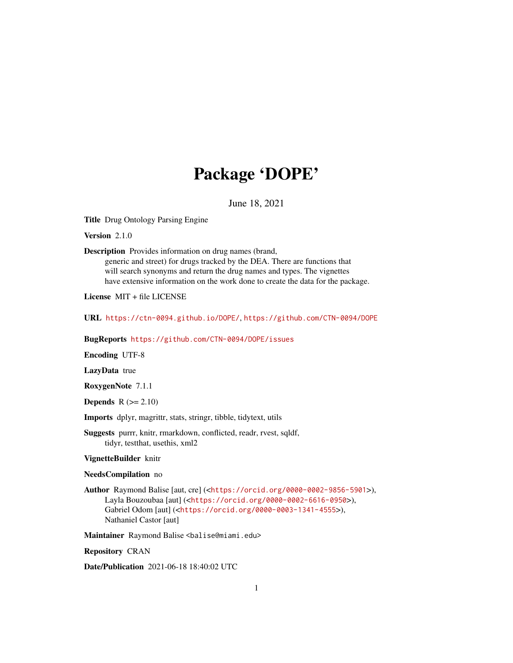# Package 'DOPE'

June 18, 2021

Title Drug Ontology Parsing Engine

Version 2.1.0

Description Provides information on drug names (brand,

generic and street) for drugs tracked by the DEA. There are functions that will search synonyms and return the drug names and types. The vignettes have extensive information on the work done to create the data for the package.

License MIT + file LICENSE

URL <https://ctn-0094.github.io/DOPE/>, <https://github.com/CTN-0094/DOPE>

BugReports <https://github.com/CTN-0094/DOPE/issues>

Encoding UTF-8

LazyData true

RoxygenNote 7.1.1

**Depends**  $R$  ( $>= 2.10$ )

Imports dplyr, magrittr, stats, stringr, tibble, tidytext, utils

Suggests purrr, knitr, rmarkdown, conflicted, readr, rvest, sqldf, tidyr, testthat, usethis, xml2

VignetteBuilder knitr

#### NeedsCompilation no

Author Raymond Balise [aut, cre] (<<https://orcid.org/0000-0002-9856-5901>>), Layla Bouzoubaa [aut] (<<https://orcid.org/0000-0002-6616-0950>>), Gabriel Odom [aut] (<<https://orcid.org/0000-0003-1341-4555>>), Nathaniel Castor [aut]

Maintainer Raymond Balise <balise@miami.edu>

Repository CRAN

Date/Publication 2021-06-18 18:40:02 UTC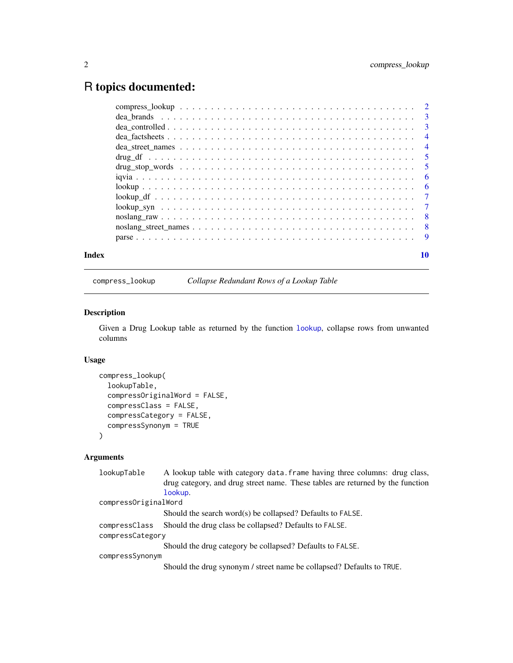## <span id="page-1-0"></span>R topics documented:

|  |  |  |  |  |  |  |  |  |  |  |  |  |  |  |  |  | 10 |
|--|--|--|--|--|--|--|--|--|--|--|--|--|--|--|--|--|----|
|  |  |  |  |  |  |  |  |  |  |  |  |  |  |  |  |  |    |
|  |  |  |  |  |  |  |  |  |  |  |  |  |  |  |  |  |    |
|  |  |  |  |  |  |  |  |  |  |  |  |  |  |  |  |  |    |
|  |  |  |  |  |  |  |  |  |  |  |  |  |  |  |  |  |    |
|  |  |  |  |  |  |  |  |  |  |  |  |  |  |  |  |  |    |
|  |  |  |  |  |  |  |  |  |  |  |  |  |  |  |  |  |    |
|  |  |  |  |  |  |  |  |  |  |  |  |  |  |  |  |  |    |
|  |  |  |  |  |  |  |  |  |  |  |  |  |  |  |  |  |    |
|  |  |  |  |  |  |  |  |  |  |  |  |  |  |  |  |  |    |
|  |  |  |  |  |  |  |  |  |  |  |  |  |  |  |  |  |    |
|  |  |  |  |  |  |  |  |  |  |  |  |  |  |  |  |  |    |
|  |  |  |  |  |  |  |  |  |  |  |  |  |  |  |  |  |    |
|  |  |  |  |  |  |  |  |  |  |  |  |  |  |  |  |  |    |
|  |  |  |  |  |  |  |  |  |  |  |  |  |  |  |  |  |    |

compress\_lookup *Collapse Redundant Rows of a Lookup Table*

#### Description

Given a Drug Lookup table as returned by the function [lookup](#page-5-1), collapse rows from unwanted columns

#### Usage

```
compress_lookup(
  lookupTable,
  compressOriginalWord = FALSE,
  compressClass = FALSE,
  compressCategory = FALSE,
  compressSynonym = TRUE
)
```
#### Arguments

| lookupTable          | A lookup table with category data. frame having three columns: drug class,     |
|----------------------|--------------------------------------------------------------------------------|
|                      | drug category, and drug street name. These tables are returned by the function |
|                      | lookup.                                                                        |
| compressOriginalWord |                                                                                |
|                      | Should the search word(s) be collapsed? Defaults to FALSE.                     |
| compressClass        | Should the drug class be collapsed? Defaults to FALSE.                         |
| compressCategory     |                                                                                |
|                      | Should the drug category be collapsed? Defaults to FALSE.                      |
| compressSynonym      |                                                                                |
|                      | Should the drug synonym / street name be collapsed? Defaults to TRUE.          |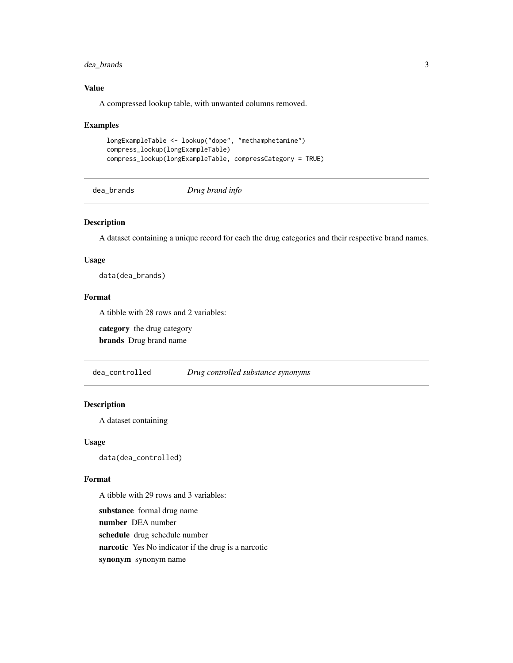#### <span id="page-2-0"></span>dea\_brands 3

#### Value

A compressed lookup table, with unwanted columns removed.

#### Examples

```
longExampleTable <- lookup("dope", "methamphetamine")
compress_lookup(longExampleTable)
compress_lookup(longExampleTable, compressCategory = TRUE)
```
dea\_brands *Drug brand info*

#### Description

A dataset containing a unique record for each the drug categories and their respective brand names.

#### Usage

data(dea\_brands)

#### Format

A tibble with 28 rows and 2 variables:

category the drug category

brands Drug brand name

dea\_controlled *Drug controlled substance synonyms*

#### Description

A dataset containing

#### Usage

data(dea\_controlled)

#### Format

A tibble with 29 rows and 3 variables:

substance formal drug name

number DEA number

schedule drug schedule number

narcotic Yes No indicator if the drug is a narcotic

synonym synonym name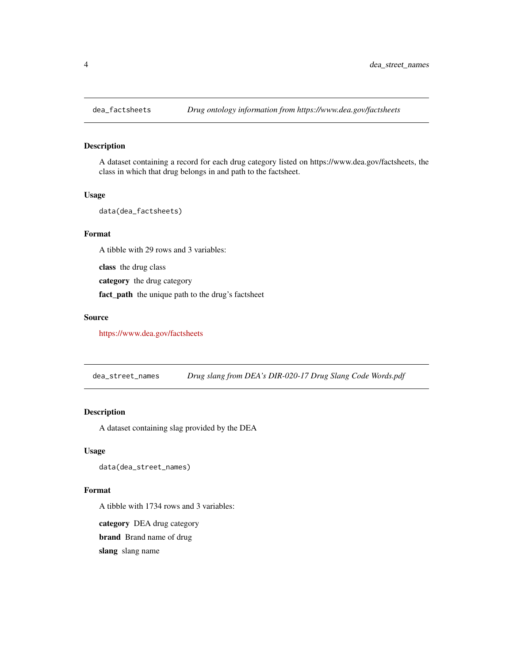<span id="page-3-0"></span>

#### Description

A dataset containing a record for each drug category listed on https://www.dea.gov/factsheets, the class in which that drug belongs in and path to the factsheet.

#### Usage

data(dea\_factsheets)

#### Format

A tibble with 29 rows and 3 variables:

class the drug class

category the drug category

fact\_path the unique path to the drug's factsheet

#### Source

<https://www.dea.gov/factsheets>

dea\_street\_names *Drug slang from DEA's DIR-020-17 Drug Slang Code Words.pdf*

#### Description

A dataset containing slag provided by the DEA

#### Usage

data(dea\_street\_names)

#### Format

A tibble with 1734 rows and 3 variables:

category DEA drug category brand Brand name of drug

slang slang name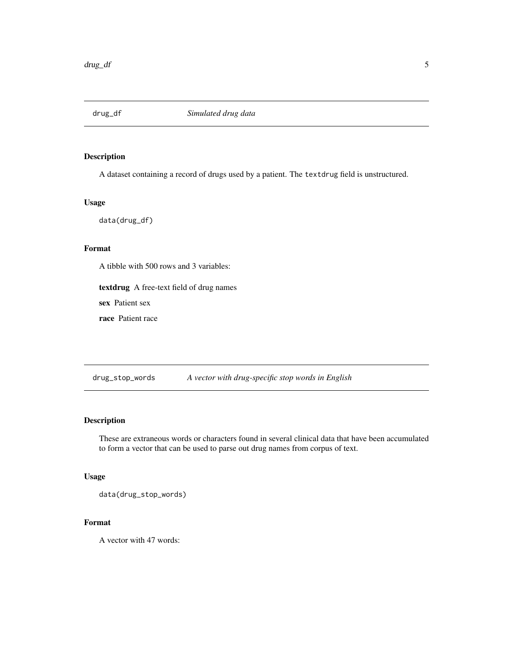<span id="page-4-0"></span>

#### Description

A dataset containing a record of drugs used by a patient. The textdrug field is unstructured.

#### Usage

data(drug\_df)

#### Format

A tibble with 500 rows and 3 variables:

textdrug A free-text field of drug names

sex Patient sex

race Patient race

drug\_stop\_words *A vector with drug-specific stop words in English*

#### Description

These are extraneous words or characters found in several clinical data that have been accumulated to form a vector that can be used to parse out drug names from corpus of text.

#### Usage

data(drug\_stop\_words)

#### Format

A vector with 47 words: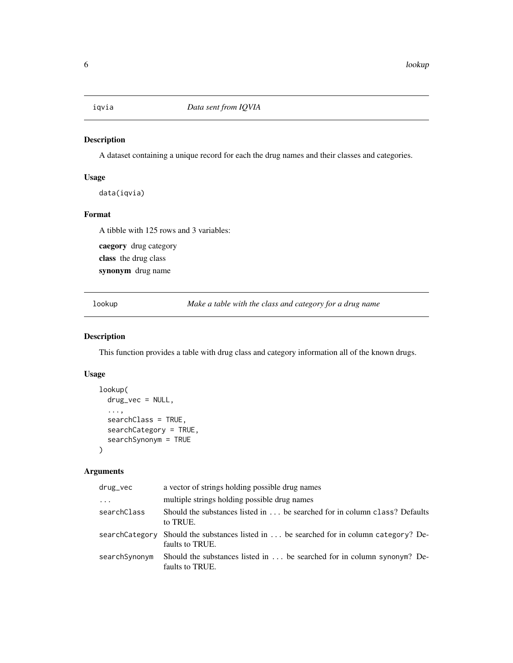<span id="page-5-0"></span>

#### Description

A dataset containing a unique record for each the drug names and their classes and categories.

#### Usage

data(iqvia)

#### Format

A tibble with 125 rows and 3 variables:

caegory drug category

class the drug class

synonym drug name

<span id="page-5-1"></span>lookup *Make a table with the class and category for a drug name*

#### Description

This function provides a table with drug class and category information all of the known drugs.

#### Usage

```
lookup(
  drug_vec = NULL,
  ...,
  searchClass = TRUE,
  searchCategory = TRUE,
  searchSynonym = TRUE
)
```
#### Arguments

| drug_vec      | a vector of strings holding possible drug names                                                            |
|---------------|------------------------------------------------------------------------------------------------------------|
| $\cdots$      | multiple strings holding possible drug names                                                               |
| searchClass   | Should the substances listed in  be searched for in column class? Defaults<br>to TRUE.                     |
|               | searchCategory Should the substances listed in  be searched for in column category? De-<br>faults to TRUE. |
| searchSynonym | Should the substances listed in $\dots$ be searched for in column synonym? De-<br>faults to TRUE.          |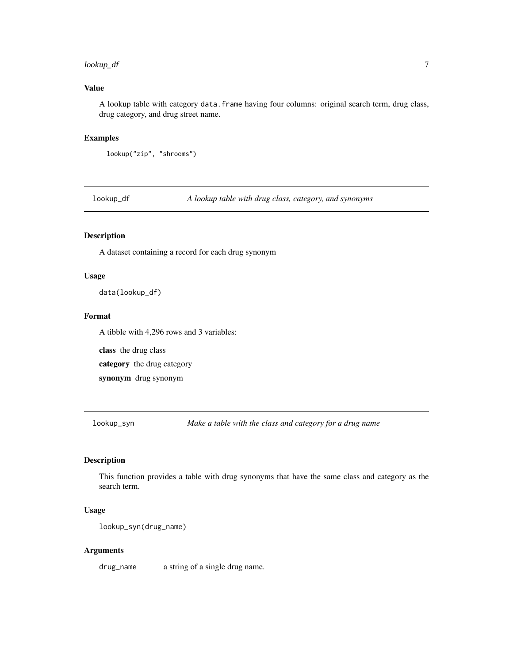#### <span id="page-6-0"></span>lookup\_df 7

#### Value

A lookup table with category data.frame having four columns: original search term, drug class, drug category, and drug street name.

#### Examples

```
lookup("zip", "shrooms")
```
lookup\_df *A lookup table with drug class, category, and synonyms*

#### Description

A dataset containing a record for each drug synonym

#### Usage

data(lookup\_df)

#### Format

A tibble with 4,296 rows and 3 variables:

class the drug class

category the drug category

synonym drug synonym

lookup\_syn *Make a table with the class and category for a drug name*

#### Description

This function provides a table with drug synonyms that have the same class and category as the search term.

#### Usage

lookup\_syn(drug\_name)

#### Arguments

drug\_name a string of a single drug name.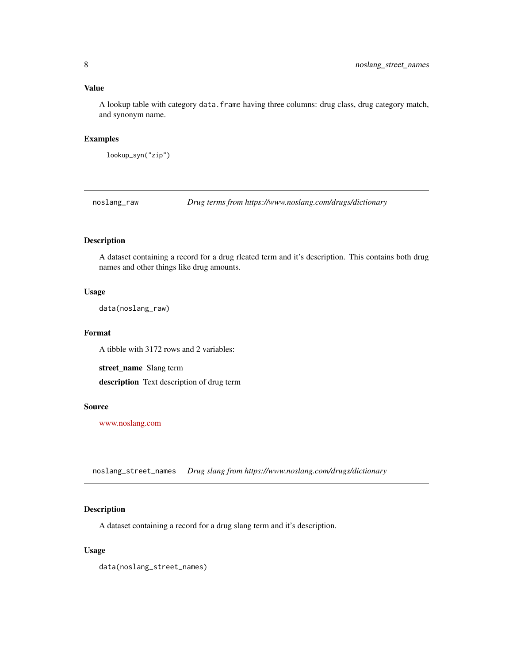#### <span id="page-7-0"></span>Value

A lookup table with category data.frame having three columns: drug class, drug category match, and synonym name.

#### Examples

```
lookup_syn("zip")
```
noslang\_raw *Drug terms from https://www.noslang.com/drugs/dictionary*

#### Description

A dataset containing a record for a drug rleated term and it's description. This contains both drug names and other things like drug amounts.

#### Usage

data(noslang\_raw)

#### Format

A tibble with 3172 rows and 2 variables:

street\_name Slang term

description Text description of drug term

#### Source

[www.noslang.com](https://www.noslang.com/drugs/dictionary)

noslang\_street\_names *Drug slang from https://www.noslang.com/drugs/dictionary*

#### Description

A dataset containing a record for a drug slang term and it's description.

#### Usage

data(noslang\_street\_names)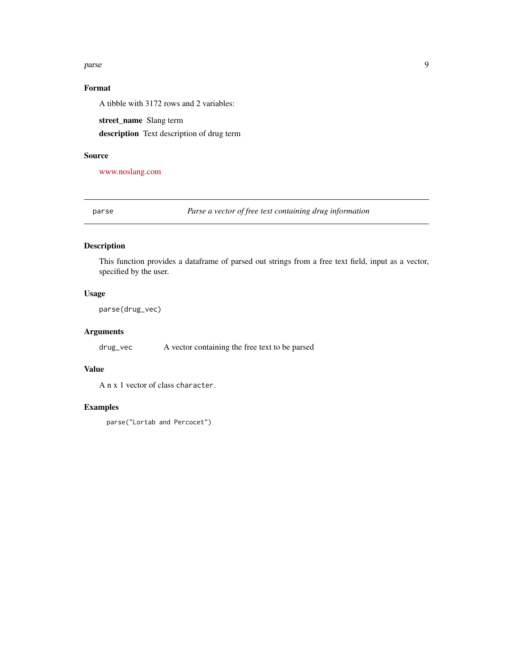#### <span id="page-8-0"></span>parse the contract of the contract of the contract of the contract of the contract of the contract of the contract of the contract of the contract of the contract of the contract of the contract of the contract of the cont

### Format

A tibble with 3172 rows and 2 variables:

street\_name Slang term

description Text description of drug term

#### Source

[www.noslang.com](https://www.noslang.com/drugs/dictionary)

parse *Parse a vector of free text containing drug information*

#### Description

This function provides a dataframe of parsed out strings from a free text field, input as a vector, specified by the user.

#### Usage

parse(drug\_vec)

#### Arguments

drug\_vec A vector containing the free text to be parsed

#### Value

A n x 1 vector of class character.

#### Examples

parse("Lortab and Percocet")